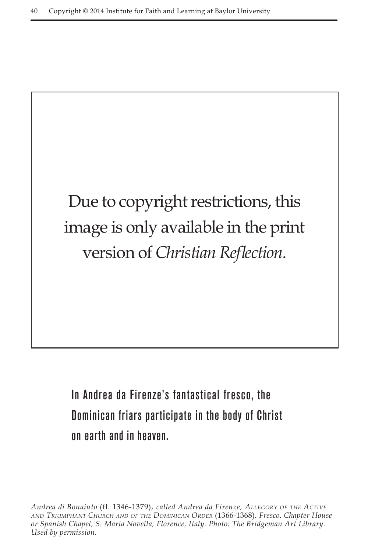

In Andrea da Firenze's fantastical fresco, the Dominican friars participate in the body of Christ on earth and in heaven.

*Andrea di Bonaiuto* (fl. 1346-1379), *called Andrea da Firenze, Allegory of the Active and Triumphant Church and of the Dominican Order* (1366-1368). *Fresco. Chapter House or Spanish Chapel, S. Maria Novella, Florence, Italy. Photo: The Bridgeman Art Library. Used by permission.*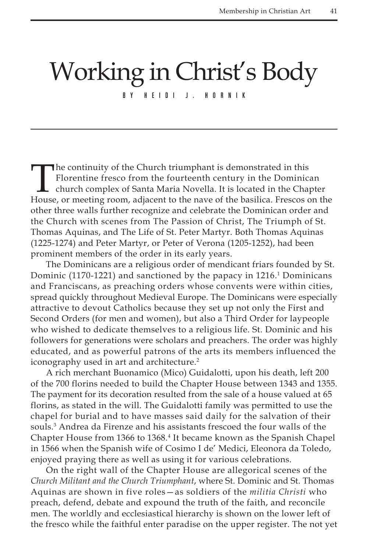## Working in Christ's Body

BY HEIDI J. HORNIK

The continuity of the Church triumphant is demonstrated in this<br>Florentine fresco from the fourteenth century in the Dominica<br>church complex of Santa Maria Novella. It is located in the Chap<br>House or meeting room adjacent Florentine fresco from the fourteenth century in the Dominican church complex of Santa Maria Novella. It is located in the Chapter House, or meeting room, adjacent to the nave of the basilica. Frescos on the other three walls further recognize and celebrate the Dominican order and the Church with scenes from The Passion of Christ, The Triumph of St. Thomas Aquinas, and The Life of St. Peter Martyr. Both Thomas Aquinas (1225-1274) and Peter Martyr, or Peter of Verona (1205-1252), had been prominent members of the order in its early years.

The Dominicans are a religious order of mendicant friars founded by St. Dominic (1170-1221) and sanctioned by the papacy in 1216.<sup>1</sup> Dominicans and Franciscans, as preaching orders whose convents were within cities, spread quickly throughout Medieval Europe. The Dominicans were especially attractive to devout Catholics because they set up not only the First and Second Orders (for men and women), but also a Third Order for laypeople who wished to dedicate themselves to a religious life. St. Dominic and his followers for generations were scholars and preachers. The order was highly educated, and as powerful patrons of the arts its members influenced the iconography used in art and architecture.<sup>2</sup>

A rich merchant Buonamico (Mico) Guidalotti, upon his death, left 200 of the 700 florins needed to build the Chapter House between 1343 and 1355. The payment for its decoration resulted from the sale of a house valued at 65 florins, as stated in the will. The Guidalotti family was permitted to use the chapel for burial and to have masses said daily for the salvation of their souls.3 Andrea da Firenze and his assistants frescoed the four walls of the Chapter House from 1366 to 1368.<sup>4</sup> It became known as the Spanish Chapel in 1566 when the Spanish wife of Cosimo I de' Medici, Eleonora da Toledo, enjoyed praying there as well as using it for various celebrations.

On the right wall of the Chapter House are allegorical scenes of the *Church Militant and the Church Triumphant*, where St. Dominic and St. Thomas Aquinas are shown in five roles—as soldiers of the *militia Christi* who preach, defend, debate and expound the truth of the faith, and reconcile men. The worldly and ecclesiastical hierarchy is shown on the lower left of the fresco while the faithful enter paradise on the upper register. The not yet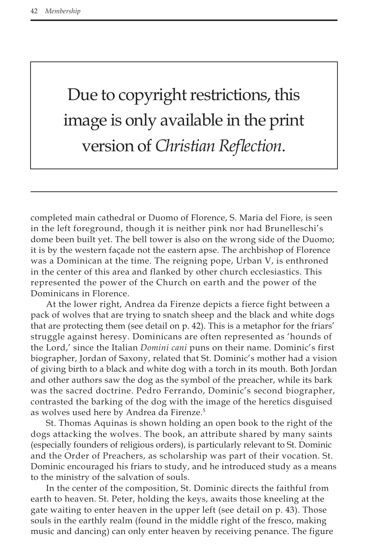## Due to copyright restrictions, this image is only available in the print version of *Christian Reflection*.

completed main cathedral or Duomo of Florence, S. Maria del Fiore, is seen in the left foreground, though it is neither pink nor had Brunelleschi's dome been built yet. The bell tower is also on the wrong side of the Duomo; it is by the western façade not the eastern apse. The archbishop of Florence was a Dominican at the time. The reigning pope, Urban V, is enthroned in the center of this area and flanked by other church ecclesiastics. This represented the power of the Church on earth and the power of the Dominicans in Florence.

At the lower right, Andrea da Firenze depicts a fierce fight between a pack of wolves that are trying to snatch sheep and the black and white dogs that are protecting them (see detail on p. 42). This is a metaphor for the friars' struggle against heresy. Dominicans are often represented as 'hounds of the Lord,' since the Italian *Domini cani* puns on their name. Dominic's first biographer, Jordan of Saxony, related that St. Dominic's mother had a vision of giving birth to a black and white dog with a torch in its mouth. Both Jordan and other authors saw the dog as the symbol of the preacher, while its bark was the sacred doctrine. Pedro Ferrando, Dominic's second biographer, contrasted the barking of the dog with the image of the heretics disguised as wolves used here by Andrea da Firenze.<sup>5</sup>

St. Thomas Aquinas is shown holding an open book to the right of the dogs attacking the wolves. The book, an attribute shared by many saints (especially founders of religious orders), is particularly relevant to St. Dominic and the Order of Preachers, as scholarship was part of their vocation. St. Dominic encouraged his friars to study, and he introduced study as a means to the ministry of the salvation of souls.

In the center of the composition, St. Dominic directs the faithful from earth to heaven. St. Peter, holding the keys, awaits those kneeling at the gate waiting to enter heaven in the upper left (see detail on p. 43). Those souls in the earthly realm (found in the middle right of the fresco, making music and dancing) can only enter heaven by receiving penance. The figure